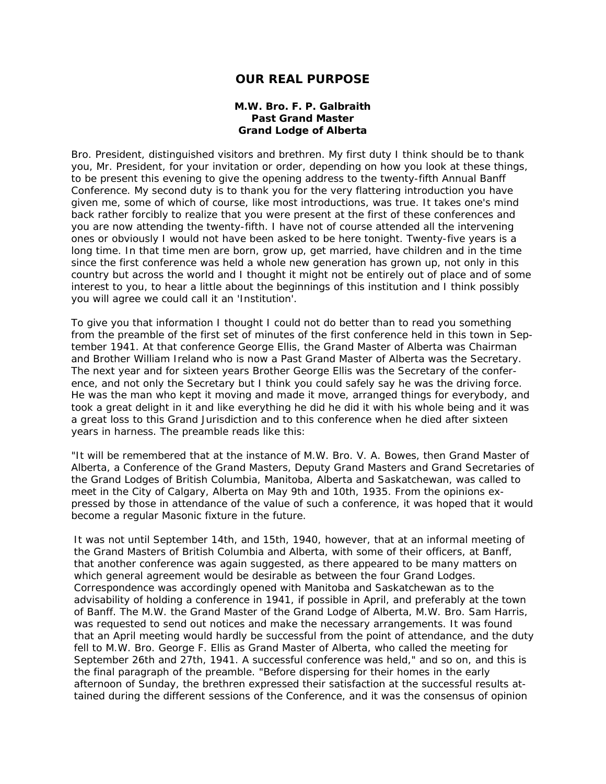## **OUR REAL PURPOSE**

## **M.W. Bro. F. P. Galbraith Past Grand Master Grand Lodge of Alberta**

Bro. President, distinguished visitors and brethren. My first duty I think should be to thank you, Mr. President, for your invitation or order, depending on how you look at these things, to be present this evening to give the opening address to the twenty-fifth Annual Banff Conference. My second duty is to thank you for the very flattering introduction you have given me, some of which of course, like most introductions, was true. It takes one's mind back rather forcibly to realize that you were present at the first of these conferences and you are now attending the twenty-fifth. I have not of course attended all the intervening ones or obviously I would not have been asked to be here tonight. Twenty-five years is a long time. In that time men are born, grow up, get married, have children and in the time since the first conference was held a whole new generation has grown up, not only in this country but across the world and I thought it might not be entirely out of place and of some interest to you, to hear a little about the beginnings of this institution and I think possibly you will agree we could call it an 'Institution'.

To give you that information I thought I could not do better than to read you something from the preamble of the first set of minutes of the first conference held in this town in September 1941. At that conference George Ellis, the Grand Master of Alberta was Chairman and Brother William Ireland who is now a Past Grand Master of Alberta was the Secretary. The next year and for sixteen years Brother George Ellis was the Secretary of the conference, and not only the Secretary but I think you could safely say he was the driving force. He was the man who kept it moving and made it move, arranged things for everybody, and took a great delight in it and like everything he did he did it with his whole being and it was a great loss to this Grand Jurisdiction and to this conference when he died after sixteen years in harness. The preamble reads like this:

"It will be remembered that at the instance of M.W. Bro. V. A. Bowes, then Grand Master of Alberta, a Conference of the Grand Masters, Deputy Grand Masters and Grand Secretaries of the Grand Lodges of British Columbia, Manitoba, Alberta and Saskatchewan, was called to meet in the City of Calgary, Alberta on May 9th and 10th, 1935. From the opinions expressed by those in attendance of the value of such a conference, it was hoped that it would become a regular Masonic fixture in the future.

It was not until September 14th, and 15th, 1940, however, that at an informal meeting of the Grand Masters of British Columbia and Alberta, with some of their officers, at Banff, that another conference was again suggested, as there appeared to be many matters on which general agreement would be desirable as between the four Grand Lodges. Correspondence was accordingly opened with Manitoba and Saskatchewan as to the advisability of holding a conference in 1941, if possible in April, and preferably at the town of Banff. The M.W. the Grand Master of the Grand Lodge of Alberta, M.W. Bro. Sam Harris, was requested to send out notices and make the necessary arrangements. It was found that an April meeting would hardly be successful from the point of attendance, and the duty fell to M.W. Bro. George F. Ellis as Grand Master of Alberta, who called the meeting for September 26th and 27th, 1941. A successful conference was held," and so on, and this is the final paragraph of the preamble. "Before dispersing for their homes in the early afternoon of Sunday, the brethren expressed their satisfaction at the successful results attained during the different sessions of the Conference, and it was the consensus of opinion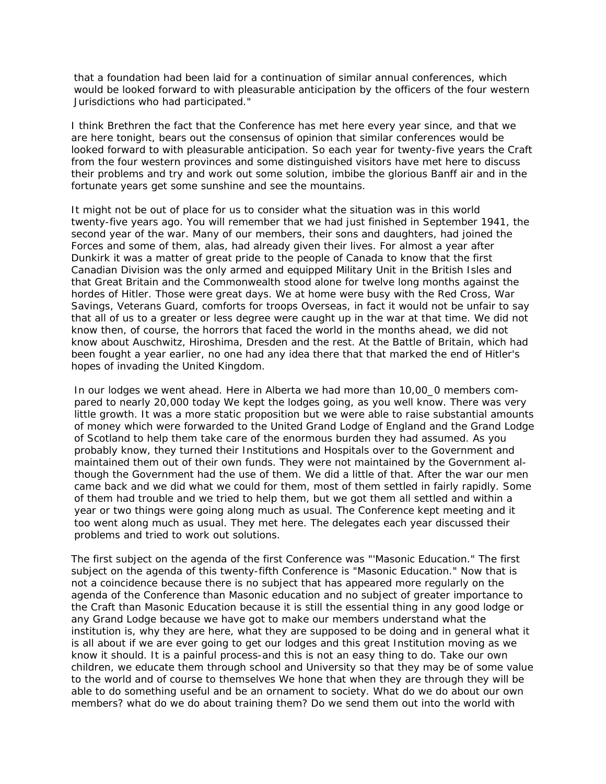that a foundation had been laid for a continuation of similar annual conferences, which would be looked forward to with pleasurable anticipation by the officers of the four western Jurisdictions who had participated."

I think Brethren the fact that the Conference has met here every year since, and that we are here tonight, bears out the consensus of opinion that similar conferences would be looked forward to with pleasurable anticipation. So each year for twenty-five years the Craft from the four western provinces and some distinguished visitors have met here to discuss their problems and try and work out some solution, imbibe the glorious Banff air and in the fortunate years get some sunshine and see the mountains.

It might not be out of place for us to consider what the situation was in this world twenty-five years ago. You will remember that we had just finished in September 1941, the second year of the war. Many of our members, their sons and daughters, had joined the Forces and some of them, alas, had already given their lives. For almost a year after Dunkirk it was a matter of great pride to the people of Canada to know that the first Canadian Division was the only armed and equipped Military Unit in the British Isles and that Great Britain and the Commonwealth stood alone for twelve long months against the hordes of Hitler. Those were great days. We at home were busy with the Red Cross, War Savings, Veterans Guard, comforts for troops Overseas, in fact it would not be unfair to say that all of us to a greater or less degree were caught up in the war at that time. We did not know then, of course, the horrors that faced the world in the months ahead, we did not know about Auschwitz, Hiroshima, Dresden and the rest. At the Battle of Britain, which had been fought a year earlier, no one had any idea there that that marked the end of Hitler's hopes of invading the United Kingdom.

In our lodges we went ahead. Here in Alberta we had more than 10,00\_0 members compared to nearly 20,000 today We kept the lodges going, as you well know. There was very little growth. It was a more static proposition but we were able to raise substantial amounts of money which were forwarded to the United Grand Lodge of England and the Grand Lodge of Scotland to help them take care of the enormous burden they had assumed. As you probably know, they turned their Institutions and Hospitals over to the Government and maintained them out of their own funds. They were not maintained by the Government although the Government had the use of them. We did a little of that. After the war our men came back and we did what we could for them, most of them settled in fairly rapidly. Some of them had trouble and we tried to help them, but we got them all settled and within a year or two things were going along much as usual. The Conference kept meeting and it too went along much as usual. They met here. The delegates each year discussed their problems and tried to work out solutions.

The first subject on the agenda of the first Conference was "'Masonic Education." The first subject on the agenda of this twenty-fifth Conference is "Masonic Education." Now that is not a coincidence because there is no subject that has appeared more regularly on the agenda of the Conference than Masonic education and no subject of greater importance to the Craft than Masonic Education because it is still the essential thing in any good lodge or any Grand Lodge because we have got to make our members understand what the institution is, why they are here, what they are supposed to be doing and in general what it is all about if we are ever going to get our lodges and this great Institution moving as we know it should. It is a painful process-and this is not an easy thing to do. Take our own children, we educate them through school and University so that they may be of some value to the world and of course to themselves We hone that when they are through they will be able to do something useful and be an ornament to society. What do we do about our own members? what do we do about training them? Do we send them out into the world with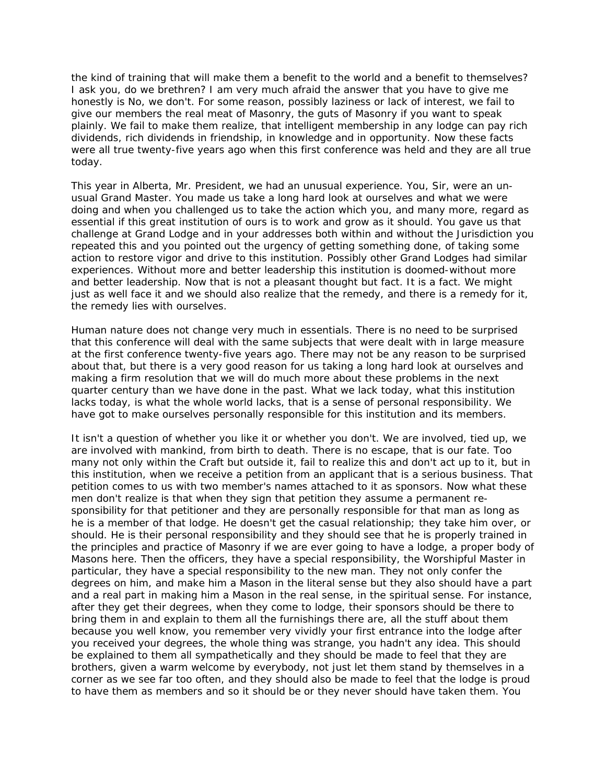the kind of training that will make them a benefit to the world and a benefit to themselves? I ask you, do we brethren? I am very much afraid the answer that you have to give me honestly is No, we don't. For some reason, possibly laziness or lack of interest, we fail to give our members the real meat of Masonry, the guts of Masonry if you want to speak plainly. We fail to make them realize, that intelligent membership in any lodge can pay rich dividends, rich dividends in friendship, in knowledge and in opportunity. Now these facts were all true twenty-five years ago when this first conference was held and they are all true today.

This year in Alberta, Mr. President, we had an unusual experience. You, Sir, were an unusual Grand Master. You made us take a long hard look at ourselves and what we were doing and when you challenged us to take the action which you, and many more, regard as essential if this great institution of ours is to work and grow as it should. You gave us that challenge at Grand Lodge and in your addresses both within and without the Jurisdiction you repeated this and you pointed out the urgency of getting something done, of taking some action to restore vigor and drive to this institution. Possibly other Grand Lodges had similar experiences. Without more and better leadership this institution is doomed-without more and better leadership. Now that is not a pleasant thought but fact. It is a fact. We might just as well face it and we should also realize that the remedy, and there is a remedy for it, the remedy lies with ourselves.

Human nature does not change very much in essentials. There is no need to be surprised that this conference will deal with the same subjects that were dealt with in large measure at the first conference twenty-five years ago. There may not be any reason to be surprised about that, but there is a very good reason for us taking a long hard look at ourselves and making a firm resolution that we will do much more about these problems in the next quarter century than we have done in the past. What we lack today, what this institution lacks today, is what the whole world lacks, that is a sense of personal responsibility. We have got to make ourselves personally responsible for this institution and its members.

It isn't a question of whether you like it or whether you don't. We are involved, tied up, we are involved with mankind, from birth to death. There is no escape, that is our fate. Too many not only within the Craft but outside it, fail to realize this and don't act up to it, but in this institution, when we receive a petition from an applicant that is a serious business. That petition comes to us with two member's names attached to it as sponsors. Now what these men don't realize is that when they sign that petition they assume a permanent responsibility for that petitioner and they are personally responsible for that man as long as he is a member of that lodge. He doesn't get the casual relationship; they take him over, or should. He is their personal responsibility and they should see that he is properly trained in the principles and practice of Masonry if we are ever going to have a lodge, a proper body of Masons here. Then the officers, they have a special responsibility, the Worshipful Master in particular, they have a special responsibility to the new man. They not only confer the degrees on him, and make him a Mason in the literal sense but they also should have a part and a real part in making him a Mason in the real sense, in the spiritual sense. For instance, after they get their degrees, when they come to lodge, their sponsors should be there to bring them in and explain to them all the furnishings there are, all the stuff about them because you well know, you remember very vividly your first entrance into the lodge after you received your degrees, the whole thing was strange, you hadn't any idea. This should be explained to them all sympathetically and they should be made to feel that they are brothers, given a warm welcome by everybody, not just let them stand by themselves in a corner as we see far too often, and they should also be made to feel that the lodge is proud to have them as members and so it should be or they never should have taken them. You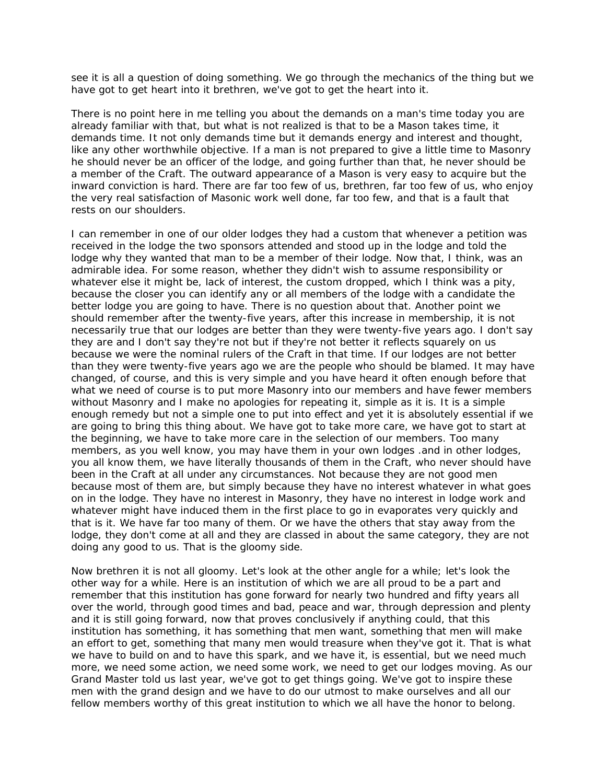see it is all a question of doing something. We go through the mechanics of the thing but we have got to get heart into it brethren, we've got to get the heart into it.

There is no point here in me telling you about the demands on a man's time today you are already familiar with that, but what is not realized is that to be a Mason takes time, it demands time. It not only demands time but it demands energy and interest and thought, like any other worthwhile objective. If a man is not prepared to give a little time to Masonry he should never be an officer of the lodge, and going further than that, he never should be a member of the Craft. The outward appearance of a Mason is very easy to acquire but the inward conviction is hard. There are far too few of us, brethren, far too few of us, who enjoy the very real satisfaction of Masonic work well done, far too few, and that is a fault that rests on our shoulders.

I can remember in one of our older lodges they had a custom that whenever a petition was received in the lodge the two sponsors attended and stood up in the lodge and told the lodge why they wanted that man to be a member of their lodge. Now that, I think, was an admirable idea. For some reason, whether they didn't wish to assume responsibility or whatever else it might be, lack of interest, the custom dropped, which I think was a pity, because the closer you can identify any or all members of the lodge with a candidate the better lodge you are going to have. There is no question about that. Another point we should remember after the twenty-five years, after this increase in membership, it is not necessarily true that our lodges are better than they were twenty-five years ago. I don't say they are and I don't say they're not but if they're not better it reflects squarely on us because we were the nominal rulers of the Craft in that time. If our lodges are not better than they were twenty-five years ago we are the people who should be blamed. It may have changed, of course, and this is very simple and you have heard it often enough before that what we need of course is to put more Masonry into our members and have fewer members without Masonry and I make no apologies for repeating it, simple as it is. It is a simple enough remedy but not a simple one to put into effect and yet it is absolutely essential if we are going to bring this thing about. We have got to take more care, we have got to start at the beginning, we have to take more care in the selection of our members. Too many members, as you well know, you may have them in your own lodges .and in other lodges, you all know them, we have literally thousands of them in the Craft, who never should have been in the Craft at all under any circumstances. Not because they are not good men because most of them are, but simply because they have no interest whatever in what goes on in the lodge. They have no interest in Masonry, they have no interest in lodge work and whatever might have induced them in the first place to go in evaporates very quickly and that is it. We have far too many of them. Or we have the others that stay away from the lodge, they don't come at all and they are classed in about the same category, they are not doing any good to us. That is the gloomy side.

Now brethren it is not all gloomy. Let's look at the other angle for a while; let's look the other way for a while. Here is an institution of which we are all proud to be a part and remember that this institution has gone forward for nearly two hundred and fifty years all over the world, through good times and bad, peace and war, through depression and plenty and it is still going forward, now that proves conclusively if anything could, that this institution has something, it has something that men want, something that men will make an effort to get, something that many men would treasure when they've got it. That is what we have to build on and to have this spark, and we have it, is essential, but we need much more, we need some action, we need some work, we need to get our lodges moving. As our Grand Master told us last year, we've got to get things going. We've got to inspire these men with the grand design and we have to do our utmost to make ourselves and all our fellow members worthy of this great institution to which we all have the honor to belong.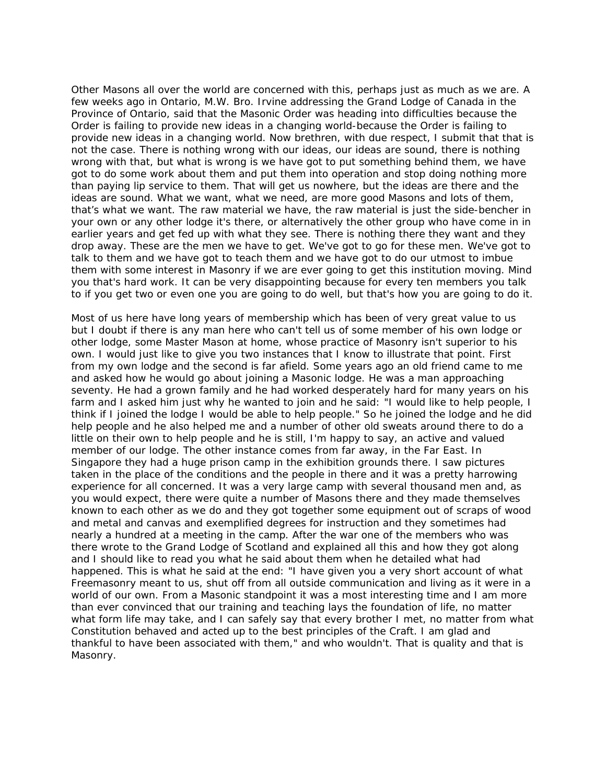Other Masons all over the world are concerned with this, perhaps just as much as we are. A few weeks ago in Ontario, M.W. Bro. Irvine addressing the Grand Lodge of Canada in the Province of Ontario, said that the Masonic Order was heading into difficulties because the Order is failing to provide new ideas in a changing world-because the Order is failing to provide new ideas in a changing world. Now brethren, with due respect, I submit that that is not the case. There is nothing wrong with our ideas, our ideas are sound, there is nothing wrong with that, but what is wrong is we have got to put something behind them, we have got to do some work about them and put them into operation and stop doing nothing more than paying lip service to them. That will get us nowhere, but the ideas are there and the ideas are sound. What we want, what we need, are more good Masons and lots of them, that's what we want. The raw material we have, the raw material is just the side-bencher in your own or any other lodge it's there, or alternatively the other group who have come in in earlier years and get fed up with what they see. There is nothing there they want and they drop away. These are the men we have to get. We've got to go for these men. We've got to talk to them and we have got to teach them and we have got to do our utmost to imbue them with some interest in Masonry if we are ever going to get this institution moving. Mind you that's hard work. It can be very disappointing because for every ten members you talk to if you get two or even one you are going to do well, but that's how you are going to do it.

Most of us here have long years of membership which has been of very great value to us but I doubt if there is any man here who can't tell us of some member of his own lodge or other lodge, some Master Mason at home, whose practice of Masonry isn't superior to his own. I would just like to give you two instances that I know to illustrate that point. First from my own lodge and the second is far afield. Some years ago an old friend came to me and asked how he would go about joining a Masonic lodge. He was a man approaching seventy. He had a grown family and he had worked desperately hard for many years on his farm and I asked him just why he wanted to join and he said: "I would like to help people, I think if I joined the lodge I would be able to help people." So he joined the lodge and he did help people and he also helped me and a number of other old sweats around there to do a little on their own to help people and he is still, I'm happy to say, an active and valued member of our lodge. The other instance comes from far away, in the Far East. In Singapore they had a huge prison camp in the exhibition grounds there. I saw pictures taken in the place of the conditions and the people in there and it was a pretty harrowing experience for all concerned. It was a very large camp with several thousand men and, as you would expect, there were quite a number of Masons there and they made themselves known to each other as we do and they got together some equipment out of scraps of wood and metal and canvas and exemplified degrees for instruction and they sometimes had nearly a hundred at a meeting in the camp. After the war one of the members who was there wrote to the Grand Lodge of Scotland and explained all this and how they got along and I should like to read you what he said about them when he detailed what had happened. This is what he said at the end: "I have given you a very short account of what Freemasonry meant to us, shut off from all outside communication and living as it were in a world of our own. From a Masonic standpoint it was a most interesting time and I am more than ever convinced that our training and teaching lays the foundation of life, no matter what form life may take, and I can safely say that every brother I met, no matter from what Constitution behaved and acted up to the best principles of the Craft. I am glad and thankful to have been associated with them," and who wouldn't. That is quality and that is Masonry.